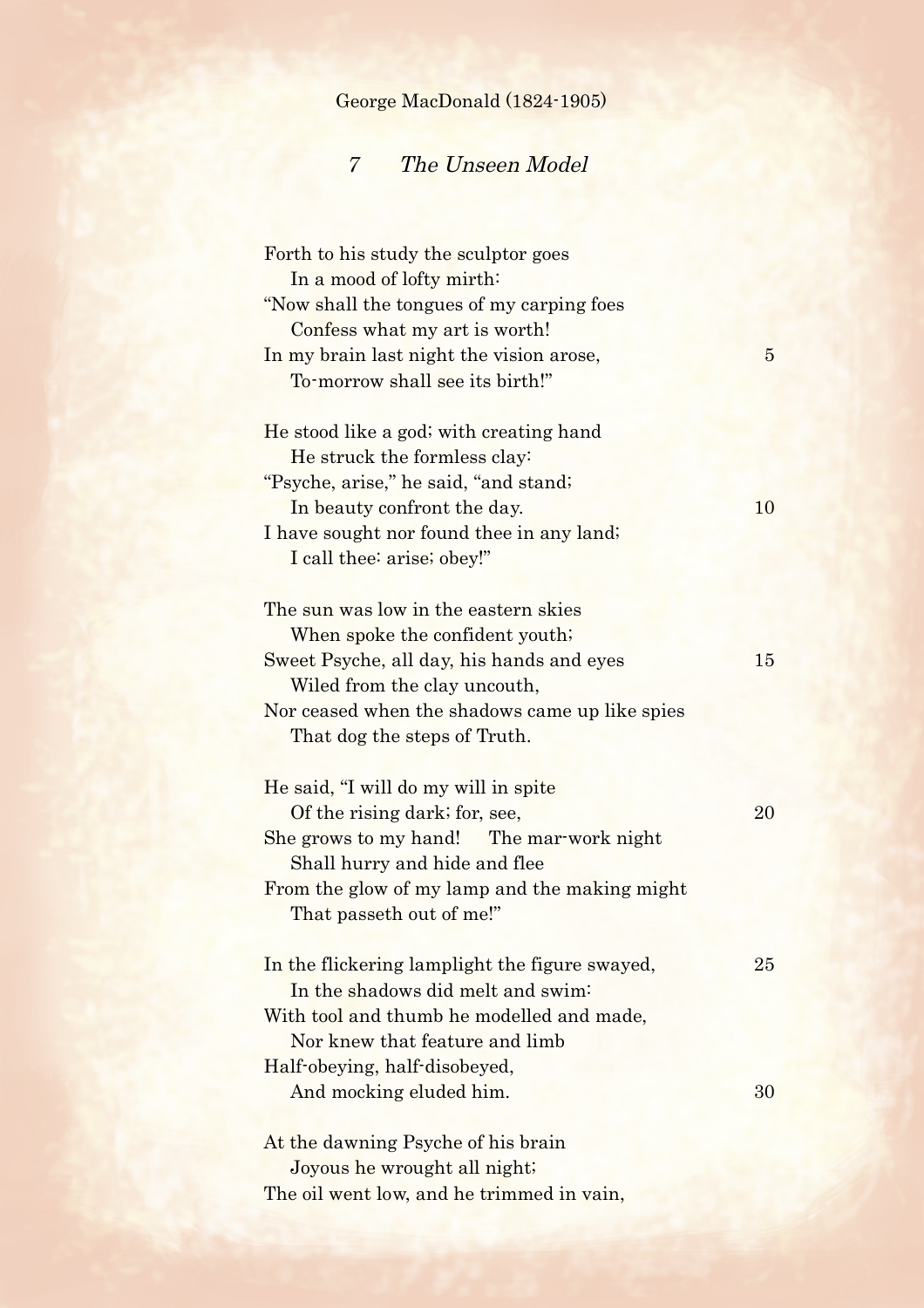| George MacDonald (1824-1905) |  |
|------------------------------|--|
|------------------------------|--|

## 7 The Unseen Model

| Forth to his study the sculptor goes           |                |
|------------------------------------------------|----------------|
| In a mood of lofty mirth:                      |                |
| "Now shall the tongues of my carping foes"     |                |
| Confess what my art is worth!                  |                |
| In my brain last night the vision arose,       | $\overline{5}$ |
| To-morrow shall see its birth!"                |                |
| He stood like a god; with creating hand        |                |
| He struck the formless clay:                   |                |
| "Psyche, arise," he said, "and stand;          |                |
| In beauty confront the day.                    | 10             |
| I have sought nor found thee in any land;      |                |
| I call thee: arise; obey!"                     |                |
|                                                |                |
| The sun was low in the eastern skies           |                |
| When spoke the confident youth;                |                |
| Sweet Psyche, all day, his hands and eyes      | 15             |
| Wiled from the clay uncouth,                   |                |
| Nor ceased when the shadows came up like spies |                |
| That dog the steps of Truth.                   |                |
|                                                |                |
| He said, "I will do my will in spite           |                |
| Of the rising dark; for, see,                  | 20             |
| She grows to my hand! The mar-work night       |                |
| Shall hurry and hide and flee                  |                |
| From the glow of my lamp and the making might  |                |
| That passeth out of me!"                       |                |
|                                                |                |
| In the flickering lamplight the figure swayed, | 25             |
| In the shadows did melt and swim-              |                |
| With tool and thumb he modelled and made,      |                |
| Nor knew that feature and limb                 |                |
| Half-obeying, half-disobeyed,                  |                |
| And mocking eluded him.                        | 30             |
| At the dawning Psyche of his brain             |                |
| Joyous he wrought all night;                   |                |
| The oil went low, and he trimmed in vain,      |                |